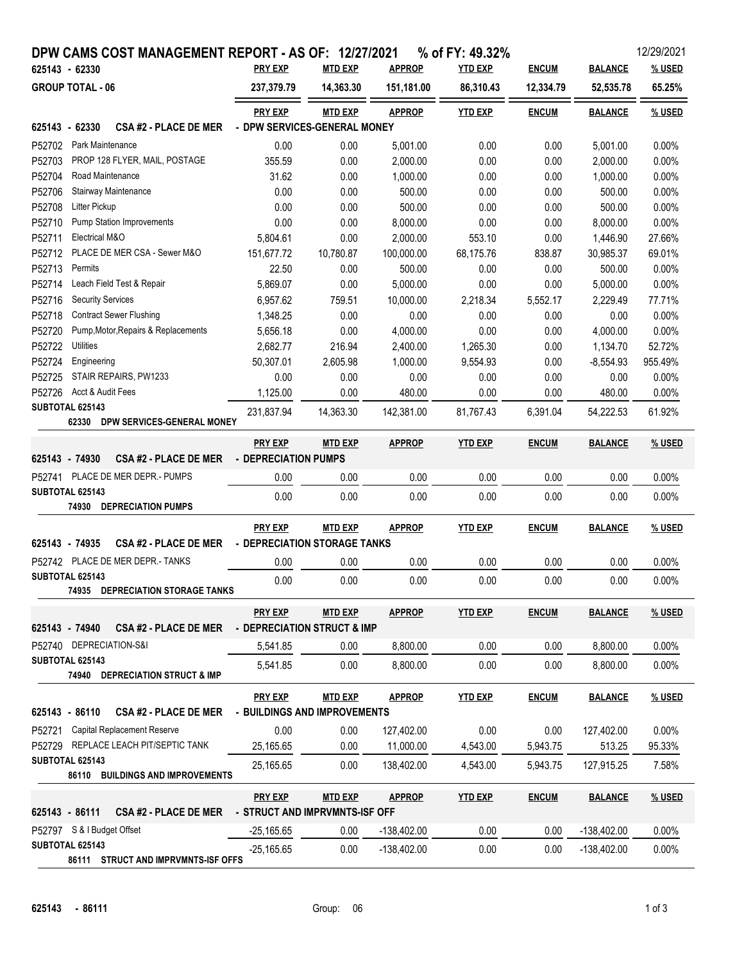| DPW CAMS COST MANAGEMENT REPORT - AS OF: 12/27/2021                            |                                |                |               | % of FY: 49.32% |              |                | 12/29/2021 |  |  |
|--------------------------------------------------------------------------------|--------------------------------|----------------|---------------|-----------------|--------------|----------------|------------|--|--|
| 625143 - 62330                                                                 | <b>PRY EXP</b>                 | <b>MTD EXP</b> | <b>APPROP</b> | <b>YTD EXP</b>  | <b>ENCUM</b> | <b>BALANCE</b> | % USED     |  |  |
| <b>GROUP TOTAL - 06</b>                                                        | 237,379.79                     | 14,363.30      | 151,181.00    | 86,310.43       | 12,334.79    | 52,535.78      | 65.25%     |  |  |
|                                                                                | <b>PRY EXP</b>                 | <b>MTD EXP</b> | <b>APPROP</b> | <b>YTD EXP</b>  | <b>ENCUM</b> | <b>BALANCE</b> | % USED     |  |  |
| - DPW SERVICES-GENERAL MONEY<br>625143 - 62330<br><b>CSA #2 - PLACE DE MER</b> |                                |                |               |                 |              |                |            |  |  |
| P52702<br>Park Maintenance                                                     | 0.00                           | 0.00           | 5,001.00      | 0.00            | 0.00         | 5,001.00       | 0.00%      |  |  |
| P52703<br>PROP 128 FLYER, MAIL, POSTAGE                                        | 355.59                         | 0.00           | 2,000.00      | 0.00            | 0.00         | 2,000.00       | 0.00%      |  |  |
| P52704<br>Road Maintenance                                                     | 31.62                          | 0.00           | 1,000.00      | 0.00            | 0.00         | 1,000.00       | 0.00%      |  |  |
| P52706<br>Stairway Maintenance                                                 | 0.00                           | 0.00           | 500.00        | 0.00            | 0.00         | 500.00         | 0.00%      |  |  |
| P52708<br>Litter Pickup                                                        | 0.00                           | 0.00           | 500.00        | 0.00            | 0.00         | 500.00         | 0.00%      |  |  |
| P52710<br><b>Pump Station Improvements</b>                                     | 0.00                           | 0.00           | 8,000.00      | 0.00            | 0.00         | 8,000.00       | 0.00%      |  |  |
| P52711<br>Electrical M&O                                                       | 5,804.61                       | 0.00           | 2,000.00      | 553.10          | 0.00         | 1,446.90       | 27.66%     |  |  |
| PLACE DE MER CSA - Sewer M&O<br>P52712                                         | 151,677.72                     | 10,780.87      | 100,000.00    | 68,175.76       | 838.87       | 30,985.37      | 69.01%     |  |  |
| P52713<br>Permits                                                              | 22.50                          | 0.00           | 500.00        | 0.00            | 0.00         | 500.00         | 0.00%      |  |  |
| P52714<br>Leach Field Test & Repair                                            | 5,869.07                       | 0.00           | 5,000.00      | 0.00            | 0.00         | 5,000.00       | 0.00%      |  |  |
| <b>Security Services</b><br>P52716                                             | 6,957.62                       | 759.51         | 10,000.00     | 2,218.34        | 5,552.17     | 2,229.49       | 77.71%     |  |  |
| P52718<br><b>Contract Sewer Flushing</b>                                       | 1,348.25                       | 0.00           | 0.00          | 0.00            | 0.00         | 0.00           | 0.00%      |  |  |
| Pump, Motor, Repairs & Replacements<br>P52720                                  | 5,656.18                       | 0.00           | 4,000.00      | 0.00            | 0.00         | 4,000.00       | 0.00%      |  |  |
| P52722<br><b>Utilities</b>                                                     | 2,682.77                       | 216.94         | 2,400.00      | 1,265.30        | 0.00         | 1,134.70       | 52.72%     |  |  |
| P52724<br>Engineering                                                          | 50,307.01                      | 2,605.98       | 1,000.00      | 9,554.93        | 0.00         | $-8,554.93$    | 955.49%    |  |  |
| P52725<br>STAIR REPAIRS, PW1233                                                | 0.00                           | 0.00           | 0.00          | 0.00            | 0.00         | 0.00           | 0.00%      |  |  |
| P52726<br>Acct & Audit Fees                                                    | 1,125.00                       | 0.00           | 480.00        | 0.00            | 0.00         | 480.00         | 0.00%      |  |  |
| SUBTOTAL 625143                                                                | 231,837.94                     | 14,363.30      | 142,381.00    | 81,767.43       | 6,391.04     | 54,222.53      | 61.92%     |  |  |
| 62330<br>DPW SERVICES-GENERAL MONEY                                            |                                |                |               |                 |              |                |            |  |  |
|                                                                                | <b>PRY EXP</b>                 | <b>MTD EXP</b> | <b>APPROP</b> | <b>YTD EXP</b>  | <b>ENCUM</b> | <b>BALANCE</b> | % USED     |  |  |
| 625143 - 74930<br><b>CSA #2 - PLACE DE MER</b>                                 | - DEPRECIATION PUMPS           |                |               |                 |              |                |            |  |  |
| P52741 PLACE DE MER DEPR.- PUMPS                                               | 0.00                           | 0.00           | 0.00          | 0.00            | 0.00         | 0.00           | 0.00%      |  |  |
| SUBTOTAL 625143                                                                |                                |                |               |                 |              |                |            |  |  |
| <b>DEPRECIATION PUMPS</b><br>74930                                             | 0.00                           | 0.00           | 0.00          | 0.00            | 0.00         | 0.00           | 0.00%      |  |  |
|                                                                                |                                |                |               |                 |              |                |            |  |  |
|                                                                                | <b>PRY EXP</b>                 | <b>MTD EXP</b> | <b>APPROP</b> | <b>YTD EXP</b>  | <b>ENCUM</b> | <b>BALANCE</b> | % USED     |  |  |
| 625143 - 74935<br><b>CSA #2 - PLACE DE MER</b>                                 | - DEPRECIATION STORAGE TANKS   |                |               |                 |              |                |            |  |  |
| P52742 PLACE DE MER DEPR.- TANKS                                               | 0.00                           | 0.00           | 0.00          | 0.00            | 0.00         | 0.00           | $0.00\%$   |  |  |
| SUBTOTAL 625143                                                                | 0.00                           | 0.00           | 0.00          | 0.00            | 0.00         | 0.00           | 0.00%      |  |  |
| 74935<br>DEPRECIATION STORAGE TANKS                                            |                                |                |               |                 |              |                |            |  |  |
|                                                                                | <b>PRY EXP</b>                 | <b>MTD EXP</b> | <b>APPROP</b> | <b>YTD EXP</b>  | <b>ENCUM</b> | <b>BALANCE</b> | % USED     |  |  |
| 625143 - 74940<br><b>CSA #2 - PLACE DE MER</b>                                 | - DEPRECIATION STRUCT & IMP    |                |               |                 |              |                |            |  |  |
| P52740 DEPRECIATION-S&I                                                        | 5,541.85                       | 0.00           | 8,800.00      | 0.00            | 0.00         | 8,800.00       | 0.00%      |  |  |
| SUBTOTAL 625143                                                                |                                |                |               |                 |              |                |            |  |  |
| 74940 DEPRECIATION STRUCT & IMP                                                | 5,541.85                       | 0.00           | 8.800.00      | 0.00            | 0.00         | 8,800.00       | 0.00%      |  |  |
|                                                                                |                                |                |               |                 |              |                |            |  |  |
|                                                                                | <b>PRY EXP</b>                 | <b>MTD EXP</b> | <b>APPROP</b> | <b>YTD EXP</b>  | <b>ENCUM</b> | <b>BALANCE</b> | % USED     |  |  |
| 625143 - 86110<br><b>CSA #2 - PLACE DE MER</b>                                 | - BUILDINGS AND IMPROVEMENTS   |                |               |                 |              |                |            |  |  |
| <b>Capital Replacement Reserve</b><br>P52721                                   | 0.00                           | 0.00           | 127,402.00    | 0.00            | 0.00         | 127,402.00     | 0.00%      |  |  |
| P52729 REPLACE LEACH PIT/SEPTIC TANK                                           | 25,165.65                      | 0.00           | 11,000.00     | 4,543.00        | 5,943.75     | 513.25         | 95.33%     |  |  |
| SUBTOTAL 625143                                                                | 25,165.65                      | 0.00           | 138,402.00    | 4,543.00        | 5,943.75     | 127,915.25     | 7.58%      |  |  |
| 86110 BUILDINGS AND IMPROVEMENTS                                               |                                |                |               |                 |              |                |            |  |  |
|                                                                                | <b>PRY EXP</b>                 | <b>MTD EXP</b> | <b>APPROP</b> | <b>YTD EXP</b>  | <b>ENCUM</b> | <b>BALANCE</b> | % USED     |  |  |
| 625143 - 86111<br><b>CSA #2 - PLACE DE MER</b>                                 | - STRUCT AND IMPRVMNTS-ISF OFF |                |               |                 |              |                |            |  |  |
| P52797 S & I Budget Offset                                                     | $-25,165.65$                   | 0.00           | $-138,402.00$ | 0.00            | 0.00         | $-138,402.00$  | 0.00%      |  |  |
| SUBTOTAL 625143                                                                | $-25,165.65$                   | 0.00           | $-138,402.00$ | 0.00            | 0.00         | $-138,402.00$  | 0.00%      |  |  |
| 86111 STRUCT AND IMPRVMNTS-ISF OFFS                                            |                                |                |               |                 |              |                |            |  |  |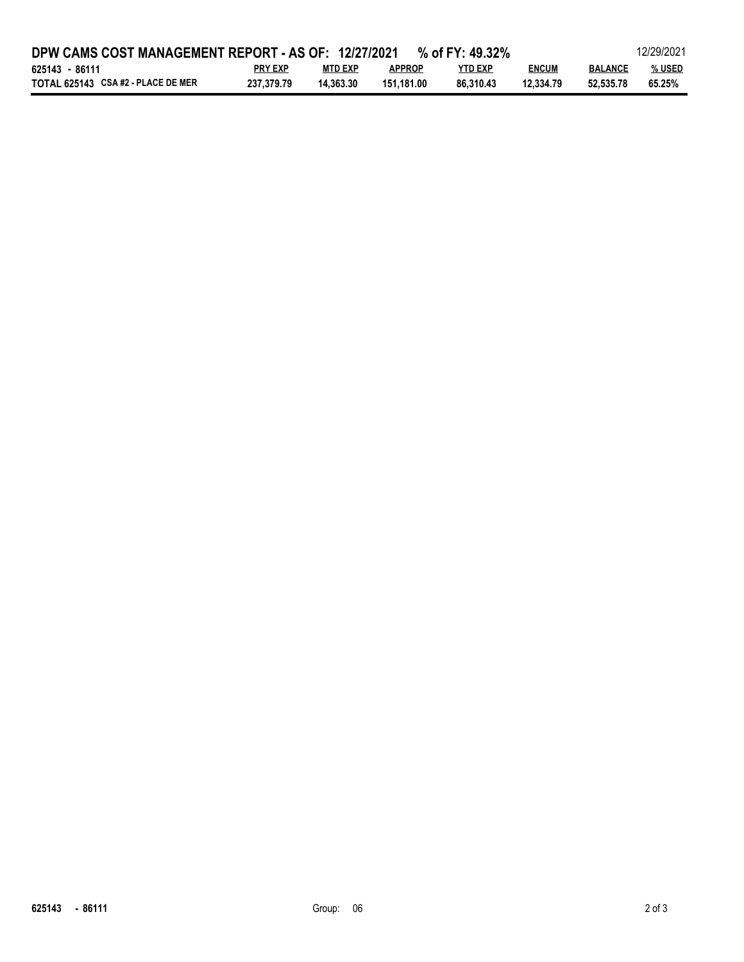| DPW CAMS COST MANAGEMENT REPORT - AS OF: 12/27/2021<br>% of FY: 49.32% |                |                |               |           |              | 12/29/2021     |        |  |
|------------------------------------------------------------------------|----------------|----------------|---------------|-----------|--------------|----------------|--------|--|
| 625143 - 86111                                                         | <b>PRY EXP</b> | <b>MTD EXP</b> | <b>APPROP</b> | YTD EXP   | <b>ENCUM</b> | <b>BALANCE</b> | % USED |  |
| TOTAL 625143 CSA #2 - PLACE DE MER                                     | 237.379.79     | 14.363.30      | 151.181.00    | 86.310.43 | 12.334.79    | 52.535.78      | 65.25% |  |